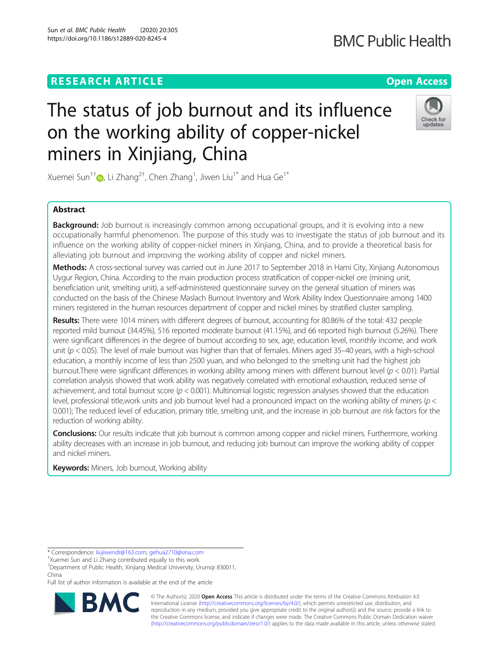# **RESEARCH ARTICLE Example 2014 12:30 The Contract of Contract ACCESS**

# The status of job burnout and its influence on the working ability of copper-nickel miners in Xinjiang, China

Xuemei Sun $^{1\dagger}$ @[,](http://orcid.org/0000-0002-6199-2977) Li Zhang $^{2\dagger}$ , Chen Zhang $^1$ , Jiwen Liu $^{1^\ast}$  and Hua Ge $^{1^\ast}$ 

# Abstract

**Background:** Job burnout is increasingly common among occupational groups, and it is evolving into a new occupationally harmful phenomenon. The purpose of this study was to investigate the status of job burnout and its influence on the working ability of copper-nickel miners in Xinjiang, China, and to provide a theoretical basis for alleviating job burnout and improving the working ability of copper and nickel miners.

Methods: A cross-sectional survey was carried out in June 2017 to September 2018 in Hami City, Xinjiang Autonomous Uygur Region, China. According to the main production process stratification of copper-nickel ore (mining unit, beneficiation unit, smelting unit), a self-administered questionnaire survey on the general situation of miners was conducted on the basis of the Chinese Maslach Burnout Inventory and Work Ability Index Questionnaire among 1400 miners registered in the human resources department of copper and nickel mines by stratified cluster sampling.

Results: There were 1014 miners with different degrees of burnout, accounting for 80.86% of the total: 432 people reported mild burnout (34.45%), 516 reported moderate burnout (41.15%), and 66 reported high burnout (5.26%). There were significant differences in the degree of burnout according to sex, age, education level, monthly income, and work unit ( $p$  < 0.05). The level of male burnout was higher than that of females. Miners aged 35–40 years, with a high-school education, a monthly income of less than 2500 yuan, and who belonged to the smelting unit had the highest job burnout. There were significant differences in working ability among miners with different burnout level ( $p < 0.01$ ). Partial correlation analysis showed that work ability was negatively correlated with emotional exhaustion, reduced sense of achievement, and total burnout score ( $p < 0.001$ ). Multinomial logistic regression analyses showed that the education level, professional title,work units and job burnout level had a pronounced impact on the working ability of miners (p < 0.001); The reduced level of education, primary title, smelting unit, and the increase in job burnout are risk factors for the reduction of working ability.

Conclusions: Our results indicate that job burnout is common among copper and nickel miners. Furthermore, working ability decreases with an increase in job burnout, and reducing job burnout can improve the working ability of copper and nickel miners.

Keywords: Miners, Job burnout, Working ability

\* Correspondence: [liujiwendr@163.com;](mailto:liujiwendr@163.com) [gehua2710@sina.com](mailto:gehua2710@sina.com) †

<sup>†</sup>Xuemei Sun and Li Zhang contributed equally to this work.

<sup>1</sup>Department of Public Health, Xinjiang Medical University, Urumqi 830011, China

Full list of author information is available at the end of the article

© The Author(s). 2020 **Open Access** This article is distributed under the terms of the Creative Commons Attribution 4.0 International License [\(http://creativecommons.org/licenses/by/4.0/](http://creativecommons.org/licenses/by/4.0/)), which permits unrestricted use, distribution, and reproduction in any medium, provided you give appropriate credit to the original author(s) and the source, provide a link to the Creative Commons license, and indicate if changes were made. The Creative Commons Public Domain Dedication waiver [\(http://creativecommons.org/publicdomain/zero/1.0/](http://creativecommons.org/publicdomain/zero/1.0/)) applies to the data made available in this article, unless otherwise stated.







Sun et al. BMC Public Health (2020) 20:305 https://doi.org/10.1186/s12889-020-8245-4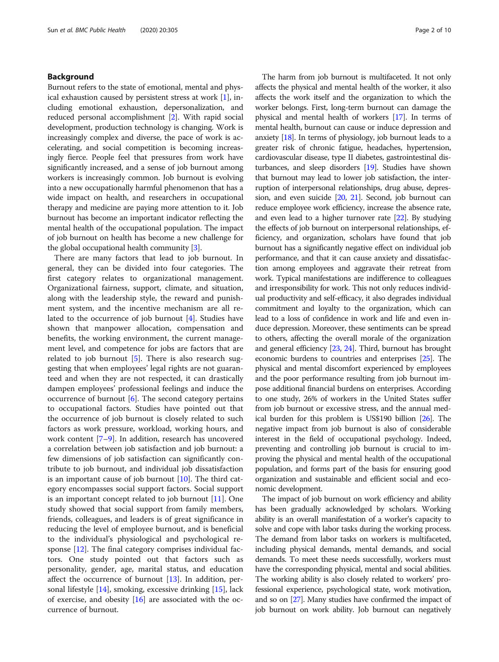# Background

Burnout refers to the state of emotional, mental and physical exhaustion caused by persistent stress at work [\[1\]](#page-8-0), including emotional exhaustion, depersonalization, and reduced personal accomplishment [\[2](#page-8-0)]. With rapid social development, production technology is changing. Work is increasingly complex and diverse, the pace of work is accelerating, and social competition is becoming increasingly fierce. People feel that pressures from work have significantly increased, and a sense of job burnout among workers is increasingly common. Job burnout is evolving into a new occupationally harmful phenomenon that has a wide impact on health, and researchers in occupational therapy and medicine are paying more attention to it. Job burnout has become an important indicator reflecting the mental health of the occupational population. The impact of job burnout on health has become a new challenge for the global occupational health community [\[3\]](#page-8-0).

There are many factors that lead to job burnout. In general, they can be divided into four categories. The first category relates to organizational management. Organizational fairness, support, climate, and situation, along with the leadership style, the reward and punishment system, and the incentive mechanism are all related to the occurrence of job burnout [\[4\]](#page-8-0). Studies have shown that manpower allocation, compensation and benefits, the working environment, the current management level, and competence for jobs are factors that are related to job burnout [[5\]](#page-8-0). There is also research suggesting that when employees' legal rights are not guaranteed and when they are not respected, it can drastically dampen employees' professional feelings and induce the occurrence of burnout  $[6]$  $[6]$ . The second category pertains to occupational factors. Studies have pointed out that the occurrence of job burnout is closely related to such factors as work pressure, workload, working hours, and work content [\[7](#page-8-0)–[9\]](#page-8-0). In addition, research has uncovered a correlation between job satisfaction and job burnout: a few dimensions of job satisfaction can significantly contribute to job burnout, and individual job dissatisfaction is an important cause of job burnout [\[10](#page-8-0)]. The third category encompasses social support factors. Social support is an important concept related to job burnout  $[11]$  $[11]$ . One study showed that social support from family members, friends, colleagues, and leaders is of great significance in reducing the level of employee burnout, and is beneficial to the individual's physiological and psychological response [[12\]](#page-8-0). The final category comprises individual factors. One study pointed out that factors such as personality, gender, age, marital status, and education affect the occurrence of burnout  $[13]$  $[13]$ . In addition, personal lifestyle [[14\]](#page-8-0), smoking, excessive drinking [\[15](#page-8-0)], lack of exercise, and obesity [\[16\]](#page-8-0) are associated with the occurrence of burnout.

The harm from job burnout is multifaceted. It not only affects the physical and mental health of the worker, it also affects the work itself and the organization to which the worker belongs. First, long-term burnout can damage the physical and mental health of workers [[17](#page-8-0)]. In terms of mental health, burnout can cause or induce depression and anxiety [[18](#page-8-0)]. In terms of physiology, job burnout leads to a greater risk of chronic fatigue, headaches, hypertension, cardiovascular disease, type II diabetes, gastrointestinal disturbances, and sleep disorders [\[19\]](#page-8-0). Studies have shown that burnout may lead to lower job satisfaction, the interruption of interpersonal relationships, drug abuse, depression, and even suicide [[20](#page-8-0), [21\]](#page-8-0). Second, job burnout can reduce employee work efficiency, increase the absence rate, and even lead to a higher turnover rate  $[22]$ . By studying the effects of job burnout on interpersonal relationships, efficiency, and organization, scholars have found that job burnout has a significantly negative effect on individual job performance, and that it can cause anxiety and dissatisfaction among employees and aggravate their retreat from work. Typical manifestations are indifference to colleagues and irresponsibility for work. This not only reduces individual productivity and self-efficacy, it also degrades individual commitment and loyalty to the organization, which can lead to a loss of confidence in work and life and even induce depression. Moreover, these sentiments can be spread to others, affecting the overall morale of the organization and general efficiency [\[23,](#page-8-0) [24](#page-8-0)]. Third, burnout has brought economic burdens to countries and enterprises [\[25\]](#page-8-0). The physical and mental discomfort experienced by employees and the poor performance resulting from job burnout impose additional financial burdens on enterprises. According to one study, 26% of workers in the United States suffer from job burnout or excessive stress, and the annual medical burden for this problem is US\$190 billion [\[26](#page-8-0)]. The negative impact from job burnout is also of considerable interest in the field of occupational psychology. Indeed, preventing and controlling job burnout is crucial to improving the physical and mental health of the occupational population, and forms part of the basis for ensuring good organization and sustainable and efficient social and economic development.

The impact of job burnout on work efficiency and ability has been gradually acknowledged by scholars. Working ability is an overall manifestation of a worker's capacity to solve and cope with labor tasks during the working process. The demand from labor tasks on workers is multifaceted, including physical demands, mental demands, and social demands. To meet these needs successfully, workers must have the corresponding physical, mental and social abilities. The working ability is also closely related to workers' professional experience, psychological state, work motivation, and so on [[27\]](#page-8-0). Many studies have confirmed the impact of job burnout on work ability. Job burnout can negatively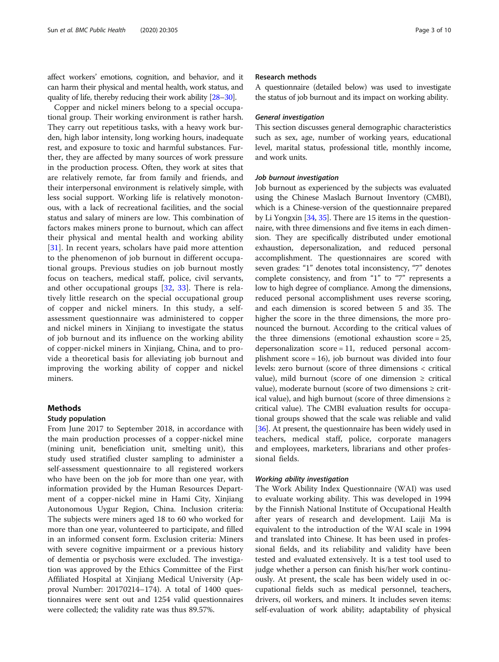affect workers' emotions, cognition, and behavior, and it can harm their physical and mental health, work status, and quality of life, thereby reducing their work ability [\[28](#page-8-0)–[30\]](#page-8-0).

Copper and nickel miners belong to a special occupational group. Their working environment is rather harsh. They carry out repetitious tasks, with a heavy work burden, high labor intensity, long working hours, inadequate rest, and exposure to toxic and harmful substances. Further, they are affected by many sources of work pressure in the production process. Often, they work at sites that are relatively remote, far from family and friends, and their interpersonal environment is relatively simple, with less social support. Working life is relatively monotonous, with a lack of recreational facilities, and the social status and salary of miners are low. This combination of factors makes miners prone to burnout, which can affect their physical and mental health and working ability [[31\]](#page-8-0). In recent years, scholars have paid more attention to the phenomenon of job burnout in different occupational groups. Previous studies on job burnout mostly focus on teachers, medical staff, police, civil servants, and other occupational groups [[32,](#page-8-0) [33](#page-8-0)]. There is relatively little research on the special occupational group of copper and nickel miners. In this study, a selfassessment questionnaire was administered to copper and nickel miners in Xinjiang to investigate the status of job burnout and its influence on the working ability of copper-nickel miners in Xinjiang, China, and to provide a theoretical basis for alleviating job burnout and improving the working ability of copper and nickel miners.

# Methods

### Study population

From June 2017 to September 2018, in accordance with the main production processes of a copper-nickel mine (mining unit, beneficiation unit, smelting unit), this study used stratified cluster sampling to administer a self-assessment questionnaire to all registered workers who have been on the job for more than one year, with information provided by the Human Resources Department of a copper-nickel mine in Hami City, Xinjiang Autonomous Uygur Region, China. Inclusion criteria: The subjects were miners aged 18 to 60 who worked for more than one year, volunteered to participate, and filled in an informed consent form. Exclusion criteria: Miners with severe cognitive impairment or a previous history of dementia or psychosis were excluded. The investigation was approved by the Ethics Committee of the First Affiliated Hospital at Xinjiang Medical University (Approval Number: 20170214–174). A total of 1400 questionnaires were sent out and 1254 valid questionnaires were collected; the validity rate was thus 89.57%.

### Research methods

A questionnaire (detailed below) was used to investigate the status of job burnout and its impact on working ability.

### General investigation

This section discusses general demographic characteristics such as sex, age, number of working years, educational level, marital status, professional title, monthly income, and work units.

### Job burnout investigation

Job burnout as experienced by the subjects was evaluated using the Chinese Maslach Burnout Inventory (CMBI), which is a Chinese-version of the questionnaire prepared by Li Yongxin [\[34,](#page-8-0) [35](#page-8-0)]. There are 15 items in the questionnaire, with three dimensions and five items in each dimension. They are specifically distributed under emotional exhaustion, depersonalization, and reduced personal accomplishment. The questionnaires are scored with seven grades: "1" denotes total inconsistency, "7" denotes complete consistency, and from "1" to "7" represents a low to high degree of compliance. Among the dimensions, reduced personal accomplishment uses reverse scoring, and each dimension is scored between 5 and 35. The higher the score in the three dimensions, the more pronounced the burnout. According to the critical values of the three dimensions (emotional exhaustion score = 25, depersonalization score = 11, reduced personal accomplishment score = 16), job burnout was divided into four levels: zero burnout (score of three dimensions < critical value), mild burnout (score of one dimension ≥ critical value), moderate burnout (score of two dimensions ≥ critical value), and high burnout (score of three dimensions ≥ critical value). The CMBI evaluation results for occupational groups showed that the scale was reliable and valid [[36](#page-8-0)]. At present, the questionnaire has been widely used in teachers, medical staff, police, corporate managers and employees, marketers, librarians and other professional fields.

## Working ability investigation

The Work Ability Index Questionnaire (WAI) was used to evaluate working ability. This was developed in 1994 by the Finnish National Institute of Occupational Health after years of research and development. Laiji Ma is equivalent to the introduction of the WAI scale in 1994 and translated into Chinese. It has been used in professional fields, and its reliability and validity have been tested and evaluated extensively. It is a test tool used to judge whether a person can finish his/her work continuously. At present, the scale has been widely used in occupational fields such as medical personnel, teachers, drivers, oil workers, and miners. It includes seven items: self-evaluation of work ability; adaptability of physical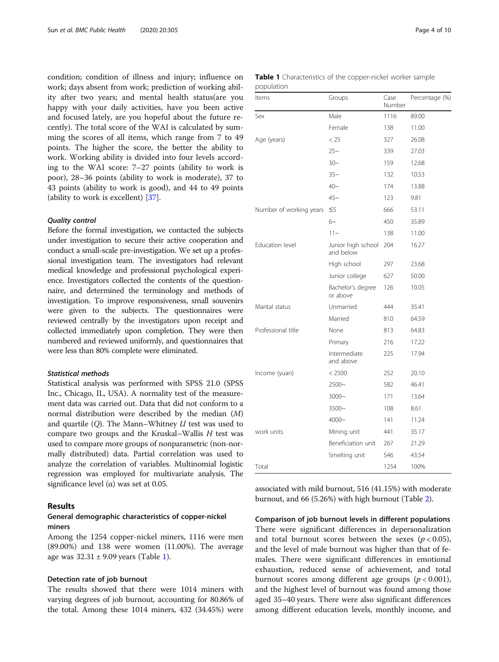condition; condition of illness and injury; influence on work; days absent from work; prediction of working ability after two years; and mental health status(are you happy with your daily activities, have you been active and focused lately, are you hopeful about the future recently). The total score of the WAI is calculated by summing the scores of all items, which range from 7 to 49 points. The higher the score, the better the ability to work. Working ability is divided into four levels according to the WAI score: 7–27 points (ability to work is poor), 28–36 points (ability to work is moderate), 37 to 43 points (ability to work is good), and 44 to 49 points (ability to work is excellent) [[37\]](#page-9-0).

### Quality control

Before the formal investigation, we contacted the subjects under investigation to secure their active cooperation and conduct a small-scale pre-investigation. We set up a professional investigation team. The investigators had relevant medical knowledge and professional psychological experience. Investigators collected the contents of the questionnaire, and determined the terminology and methods of investigation. To improve responsiveness, small souvenirs were given to the subjects. The questionnaires were reviewed centrally by the investigators upon receipt and collected immediately upon completion. They were then numbered and reviewed uniformly, and questionnaires that were less than 80% complete were eliminated.

## Statistical methods

Statistical analysis was performed with SPSS 21.0 (SPSS Inc., Chicago, IL, USA). A normality test of the measurement data was carried out. Data that did not conform to a normal distribution were described by the median (M) and quartile  $(Q)$ . The Mann–Whitney  $U$  test was used to compare two groups and the Kruskal–Wallis  $H$  test was used to compare more groups of nonparametric (non-normally distributed) data. Partial correlation was used to analyze the correlation of variables. Multinomial logistic regression was employed for multivariate analysis. The significance level ( $\alpha$ ) was set at 0.05.

# Results

# General demographic characteristics of copper-nickel miners

Among the 1254 copper-nickel miners, 1116 were men (89.00%) and 138 were women (11.00%). The average age was  $32.31 \pm 9.09$  years (Table 1).

### Detection rate of job burnout

The results showed that there were 1014 miners with varying degrees of job burnout, accounting for 80.86% of the total. Among these 1014 miners, 432 (34.45%) were

| Page 4 of 10 |  |  |
|--------------|--|--|
|              |  |  |

|            | Table 1 Characteristics of the copper-nickel worker sample |  |  |
|------------|------------------------------------------------------------|--|--|
| population |                                                            |  |  |

| Items                   | Groups                          | Case<br>Number | Percentage (%) |
|-------------------------|---------------------------------|----------------|----------------|
| Sex                     | Male                            | 1116           | 89.00          |
|                         | Female                          | 138            | 11.00          |
| Age (years)             | < 25                            | 327            | 26.08          |
|                         | $25-$                           | 339            | 27.03          |
|                         | $30 -$                          | 159            | 12.68          |
|                         | $35 -$                          | 132            | 10.53          |
|                         | $40 -$                          | 174            | 13.88          |
|                         | $45 -$                          | 123            | 9.81           |
| Number of working years | $\leq$ 5                        | 666            | 53.11          |
|                         | $6-$                            | 450            | 35.89          |
|                         | $11 -$                          | 138            | 11.00          |
| <b>Education level</b>  | Junior high school<br>and below | 204            | 16.27          |
|                         | High school                     | 297            | 23.68          |
|                         | Junior college                  | 627            | 50.00          |
|                         | Bachelor's degree<br>or above   | 126            | 10.05          |
| Marital status          | Unmarried                       | 444            | 35.41          |
|                         | Married                         | 810            | 64.59          |
| Professional title      | None                            | 813            | 64.83          |
|                         | Primary                         | 216            | 17.22          |
|                         | Intermediate<br>and above       | 225            | 17.94          |
| Income (yuan)           | < 2500                          | 252            | 20.10          |
|                         | 2500~                           | 582            | 46.41          |
|                         | $3000 -$                        | 171            | 13.64          |
|                         | 3500~                           | 108            | 8.61           |
|                         | 4000~                           | 141            | 11.24          |
| work units              | Mining unit                     | 441            | 35.17          |
|                         | Beneficiation unit              | 267            | 21.29          |
|                         | Smelting unit                   | 546            | 43.54          |
| Total                   |                                 | 1254           | 100%           |

associated with mild burnout, 516 (41.15%) with moderate burnout, and 66 (5.26%) with high burnout (Table [2](#page-4-0)).

Comparison of job burnout levels in different populations There were significant differences in depersonalization and total burnout scores between the sexes ( $p < 0.05$ ), and the level of male burnout was higher than that of females. There were significant differences in emotional exhaustion, reduced sense of achievement, and total burnout scores among different age groups ( $p < 0.001$ ), and the highest level of burnout was found among those aged 35–40 years. There were also significant differences among different education levels, monthly income, and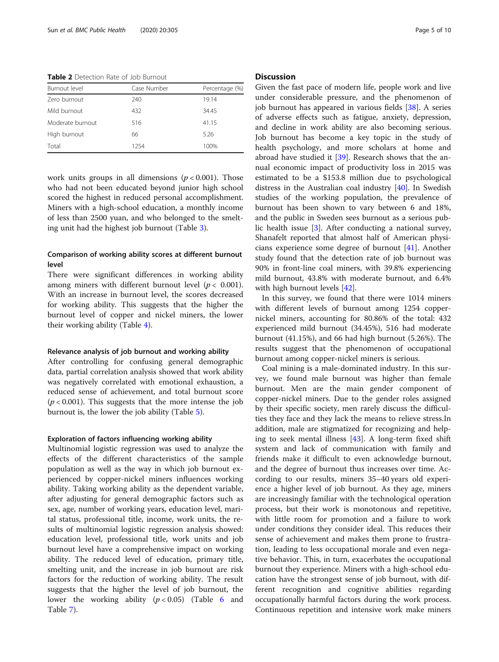<span id="page-4-0"></span>Table 2 Detection Rate of Job Burnout

| Burnout level    | Case Number | Percentage (%) |
|------------------|-------------|----------------|
| Zero burnout     | 240         | 19.14          |
| Mild burnout     | 432         | 34.45          |
| Moderate burnout | 516         | 41.15          |
| High burnout     | 66          | 5.26           |
| Total            | 1254        | 100%           |
|                  |             |                |

work units groups in all dimensions ( $p < 0.001$ ). Those who had not been educated beyond junior high school scored the highest in reduced personal accomplishment. Miners with a high-school education, a monthly income of less than 2500 yuan, and who belonged to the smelting unit had the highest job burnout (Table [3](#page-5-0)).

# Comparison of working ability scores at different burnout level

There were significant differences in working ability among miners with different burnout level ( $p < 0.001$ ). With an increase in burnout level, the scores decreased for working ability. This suggests that the higher the burnout level of copper and nickel miners, the lower their working ability (Table [4\)](#page-6-0).

# Relevance analysis of job burnout and working ability

After controlling for confusing general demographic data, partial correlation analysis showed that work ability was negatively correlated with emotional exhaustion, a reduced sense of achievement, and total burnout score  $(p < 0.001)$ . This suggests that the more intense the job burnout is, the lower the job ability (Table [5\)](#page-6-0).

### Exploration of factors influencing working ability

Multinomial logistic regression was used to analyze the effects of the different characteristics of the sample population as well as the way in which job burnout experienced by copper-nickel miners influences working ability. Taking working ability as the dependent variable, after adjusting for general demographic factors such as sex, age, number of working years, education level, marital status, professional title, income, work units, the results of multinomial logistic regression analysis showed: education level, professional title, work units and job burnout level have a comprehensive impact on working ability. The reduced level of education, primary title, smelting unit, and the increase in job burnout are risk factors for the reduction of working ability. The result suggests that the higher the level of job burnout, the lower the working ability  $(p < 0.05)$  (Table [6](#page-7-0) and Table [7\)](#page-7-0).

# **Discussion**

Given the fast pace of modern life, people work and live under considerable pressure, and the phenomenon of job burnout has appeared in various fields [[38\]](#page-9-0). A series of adverse effects such as fatigue, anxiety, depression, and decline in work ability are also becoming serious. Job burnout has become a key topic in the study of health psychology, and more scholars at home and abroad have studied it [\[39\]](#page-9-0). Research shows that the annual economic impact of productivity loss in 2015 was estimated to be a \$153.8 million due to psychological distress in the Australian coal industry [\[40\]](#page-9-0). In Swedish studies of the working population, the prevalence of burnout has been shown to vary between 6 and 18%, and the public in Sweden sees burnout as a serious public health issue [[3\]](#page-8-0). After conducting a national survey, Shanafelt reported that almost half of American physicians experience some degree of burnout [\[41](#page-9-0)]. Another study found that the detection rate of job burnout was 90% in front-line coal miners, with 39.8% experiencing mild burnout, 43.8% with moderate burnout, and 6.4% with high burnout levels [[42\]](#page-9-0).

In this survey, we found that there were 1014 miners with different levels of burnout among 1254 coppernickel miners, accounting for 80.86% of the total: 432 experienced mild burnout (34.45%), 516 had moderate burnout (41.15%), and 66 had high burnout (5.26%). The results suggest that the phenomenon of occupational burnout among copper-nickel miners is serious.

Coal mining is a male-dominated industry. In this survey, we found male burnout was higher than female burnout. Men are the main gender component of copper-nickel miners. Due to the gender roles assigned by their specific society, men rarely discuss the difficulties they face and they lack the means to relieve stress.In addition, male are stigmatized for recognizing and helping to seek mental illness  $[43]$  $[43]$ . A long-term fixed shift system and lack of communication with family and friends make it difficult to even acknowledge burnout, and the degree of burnout thus increases over time. According to our results, miners 35–40 years old experience a higher level of job burnout. As they age, miners are increasingly familiar with the technological operation process, but their work is monotonous and repetitive, with little room for promotion and a failure to work under conditions they consider ideal. This reduces their sense of achievement and makes them prone to frustration, leading to less occupational morale and even negative behavior. This, in turn, exacerbates the occupational burnout they experience. Miners with a high-school education have the strongest sense of job burnout, with different recognition and cognitive abilities regarding occupationally harmful factors during the work process. Continuous repetition and intensive work make miners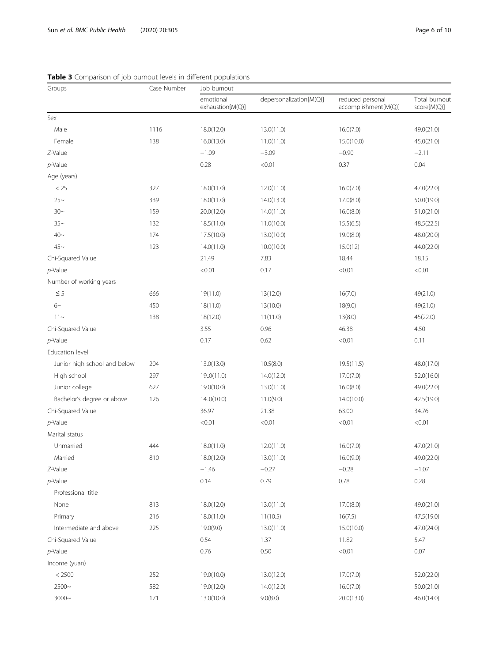| Groups                       | Case Number | Job burnout                   |                         |                                          |                              |  |  |  |
|------------------------------|-------------|-------------------------------|-------------------------|------------------------------------------|------------------------------|--|--|--|
|                              |             | emotional<br>exhaustion[M(Q)] | depersonalization[M(Q)] | reduced personal<br>accomplishment[M(Q)] | Total burnout<br>score[M(Q)] |  |  |  |
| Sex                          |             |                               |                         |                                          |                              |  |  |  |
| Male                         | 1116        | 18.0(12.0)                    | 13.0(11.0)              | 16.0(7.0)                                | 49.0(21.0)                   |  |  |  |
| Female                       | 138         | 16.0(13.0)                    | 11.0(11.0)              | 15.0(10.0)                               | 45.0(21.0)                   |  |  |  |
| Z-Value                      |             | $-1.09$                       | $-3.09$                 | $-0.90$                                  | $-2.11$                      |  |  |  |
| $p$ -Value                   |             | 0.28                          | < 0.01                  | 0.37                                     | 0.04                         |  |  |  |
| Age (years)                  |             |                               |                         |                                          |                              |  |  |  |
| < 25                         | 327         | 18.0(11.0)                    | 12.0(11.0)              | 16.0(7.0)                                | 47.0(22.0)                   |  |  |  |
| $25-$                        | 339         | 18.0(11.0)                    | 14.0(13.0)              | 17.0(8.0)                                | 50.0(19.0)                   |  |  |  |
| $30-$                        | 159         | 20.0(12.0)                    | 14.0(11.0)              | 16.0(8.0)                                | 51.0(21.0)                   |  |  |  |
| $35-$                        | 132         | 18.5(11.0)                    | 11.0(10.0)              | 15.5(6.5)                                | 48.5(22.5)                   |  |  |  |
| $40-$                        | 174         | 17.5(10.0)                    | 13.0(10.0)              | 19.0(8.0)                                | 48.0(20.0)                   |  |  |  |
| $45-$                        | 123         | 14.0(11.0)                    | 10.0(10.0)              | 15.0(12)                                 | 44.0(22.0)                   |  |  |  |
| Chi-Squared Value            |             | 21.49                         | 7.83                    | 18.44                                    | 18.15                        |  |  |  |
| $p$ -Value                   |             | < 0.01                        | 0.17                    | < 0.01                                   | < 0.01                       |  |  |  |
| Number of working years      |             |                               |                         |                                          |                              |  |  |  |
| $\leq 5$                     | 666         | 19(11.0)                      | 13(12.0)                | 16(7.0)                                  | 49(21.0)                     |  |  |  |
| 6 <sup>~</sup>               | 450         | 18(11.0)                      | 13(10.0)                | 18(9.0)                                  | 49(21.0)                     |  |  |  |
| $11 -$                       | 138         | 18(12.0)                      | 11(11.0)                | 13(8.0)                                  | 45(22.0)                     |  |  |  |
| Chi-Squared Value            |             | 3.55                          | 0.96                    | 46.38                                    | 4.50                         |  |  |  |
| $p$ -Value                   |             | 0.17                          | 0.62                    | < 0.01                                   | 0.11                         |  |  |  |
| Education level              |             |                               |                         |                                          |                              |  |  |  |
| Junior high school and below | 204         | 13.0(13.0)                    | 10.5(8.0)               | 19.5(11.5)                               | 48.0(17.0)                   |  |  |  |
| High school                  | 297         | 19.0(11.0)                    | 14.0(12.0)              | 17.0(7.0)                                | 52.0(16.0)                   |  |  |  |
| Junior college               | 627         | 19.0(10.0)                    | 13.0(11.0)              | 16.0(8.0)                                | 49.0(22.0)                   |  |  |  |
| Bachelor's degree or above   | 126         | 14.0(10.0)                    | 11.0(9.0)               | 14.0(10.0)                               | 42.5(19.0)                   |  |  |  |
| Chi-Squared Value            |             | 36.97                         | 21.38                   | 63.00                                    | 34.76                        |  |  |  |
| $p$ -Value                   |             | < 0.01                        | < 0.01                  | < 0.01                                   | < 0.01                       |  |  |  |
| Marital status               |             |                               |                         |                                          |                              |  |  |  |
| Unmarried                    | 444         | 18.0(11.0)                    | 12.0(11.0)              | 16.0(7.0)                                | 47.0(21.0)                   |  |  |  |
| Married                      | 810         | 18.0(12.0)                    | 13.0(11.0)              | 16.0(9.0)                                | 49.0(22.0)                   |  |  |  |
| Z-Value                      |             | $-1.46$                       | $-0.27$                 | $-0.28$                                  | $-1.07$                      |  |  |  |
| $p$ -Value                   |             | 0.14                          | 0.79                    | 0.78                                     | 0.28                         |  |  |  |
| Professional title           |             |                               |                         |                                          |                              |  |  |  |
| None                         | 813         | 18.0(12.0)                    | 13.0(11.0)              | 17.0(8.0)                                | 49.0(21.0)                   |  |  |  |
| Primary                      | 216         | 18.0(11.0)                    | 11(10.5)                | 16(7.5)                                  | 47.5(19.0)                   |  |  |  |
| Intermediate and above       | 225         | 19.0(9.0)                     | 13.0(11.0)              | 15.0(10.0)                               | 47.0(24.0)                   |  |  |  |
| Chi-Squared Value            |             | 0.54                          | 1.37                    | 11.82                                    | 5.47                         |  |  |  |
| $p$ -Value                   |             | 0.76                          | 0.50                    | < 0.01                                   | 0.07                         |  |  |  |
| Income (yuan)                |             |                               |                         |                                          |                              |  |  |  |
| < 2500                       | 252         | 19.0(10.0)                    | 13.0(12.0)              | 17.0(7.0)                                | 52.0(22.0)                   |  |  |  |
| $2500 -$                     | 582         | 19.0(12.0)                    | 14.0(12.0)              | 16.0(7.0)                                | 50.0(21.0)                   |  |  |  |
| $3000 -$                     | 171         | 13.0(10.0)                    | 9.0(8.0)                | 20.0(13.0)                               | 46.0(14.0)                   |  |  |  |

# <span id="page-5-0"></span>Table 3 Comparison of job burnout levels in different populations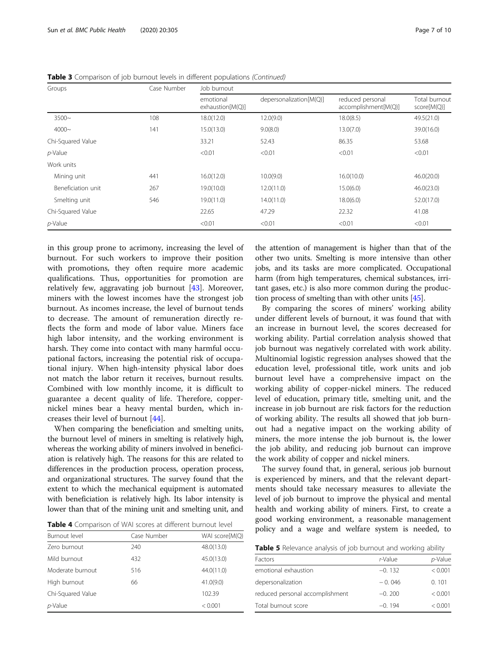| Groups             | Case Number | Job burnout                   |                         |                                          |                              |  |  |
|--------------------|-------------|-------------------------------|-------------------------|------------------------------------------|------------------------------|--|--|
|                    |             | emotional<br>exhaustion[M(Q)] | depersonalization[M(Q)] | reduced personal<br>accomplishment[M(Q)] | Total burnout<br>score[M(Q)] |  |  |
| $3500 -$           | 108         | 18.0(12.0)                    | 12.0(9.0)               | 18.0(8.5)                                | 49.5(21.0)                   |  |  |
| $4000 -$           | 141         | 15.0(13.0)                    | 9.0(8.0)                | 13.0(7.0)                                | 39.0(16.0)                   |  |  |
| Chi-Squared Value  |             | 33.21                         | 52.43                   | 86.35                                    | 53.68                        |  |  |
| $p$ -Value         |             | < 0.01                        | < 0.01                  | < 0.01                                   | < 0.01                       |  |  |
| Work units         |             |                               |                         |                                          |                              |  |  |
| Mining unit        | 441         | 16.0(12.0)                    | 10.0(9.0)               | 16.0(10.0)                               | 46.0(20.0)                   |  |  |
| Beneficiation unit | 267         | 19.0(10.0)                    | 12.0(11.0)              | 15.0(6.0)                                | 46.0(23.0)                   |  |  |
| Smelting unit      | 546         | 19.0(11.0)                    | 14.0(11.0)              | 18.0(6.0)                                | 52.0(17.0)                   |  |  |
| Chi-Squared Value  |             | 22.65                         | 47.29                   | 22.32                                    | 41.08                        |  |  |
| $p$ -Value         |             | < 0.01                        | < 0.01                  | < 0.01                                   | < 0.01                       |  |  |

<span id="page-6-0"></span>Table 3 Comparison of job burnout levels in different populations (Continued)

in this group prone to acrimony, increasing the level of burnout. For such workers to improve their position with promotions, they often require more academic qualifications. Thus, opportunities for promotion are relatively few, aggravating job burnout [[43](#page-9-0)]. Moreover, miners with the lowest incomes have the strongest job burnout. As incomes increase, the level of burnout tends to decrease. The amount of remuneration directly reflects the form and mode of labor value. Miners face high labor intensity, and the working environment is harsh. They come into contact with many harmful occupational factors, increasing the potential risk of occupational injury. When high-intensity physical labor does not match the labor return it receives, burnout results. Combined with low monthly income, it is difficult to guarantee a decent quality of life. Therefore, coppernickel mines bear a heavy mental burden, which increases their level of burnout [\[44\]](#page-9-0).

When comparing the beneficiation and smelting units, the burnout level of miners in smelting is relatively high, whereas the working ability of miners involved in beneficiation is relatively high. The reasons for this are related to differences in the production process, operation process, and organizational structures. The survey found that the extent to which the mechanical equipment is automated with beneficiation is relatively high. Its labor intensity is lower than that of the mining unit and smelting unit, and

| Table 4 Comparison of WAI scores at different burnout level |  |
|-------------------------------------------------------------|--|
|-------------------------------------------------------------|--|

| Burnout level     | Case Number | WAI score[M(Q) |
|-------------------|-------------|----------------|
| Zero burnout      | 240         | 48.0(13.0)     |
| Mild burnout      | 432         | 45.0(13.0)     |
| Moderate burnout  | 516         | 44.0(11.0)     |
| High burnout      | 66          | 41.0(9.0)      |
| Chi-Squared Value |             | 102.39         |
| $p$ -Value        |             | < 0.001        |

the attention of management is higher than that of the other two units. Smelting is more intensive than other jobs, and its tasks are more complicated. Occupational harm (from high temperatures, chemical substances, irritant gases, etc.) is also more common during the production process of smelting than with other units [\[45\]](#page-9-0).

By comparing the scores of miners' working ability under different levels of burnout, it was found that with an increase in burnout level, the scores decreased for working ability. Partial correlation analysis showed that job burnout was negatively correlated with work ability. Multinomial logistic regression analyses showed that the education level, professional title, work units and job burnout level have a comprehensive impact on the working ability of copper-nickel miners. The reduced level of education, primary title, smelting unit, and the increase in job burnout are risk factors for the reduction of working ability. The results all showed that job burnout had a negative impact on the working ability of miners, the more intense the job burnout is, the lower the job ability, and reducing job burnout can improve the work ability of copper and nickel miners.

The survey found that, in general, serious job burnout is experienced by miners, and that the relevant departments should take necessary measures to alleviate the level of job burnout to improve the physical and mental health and working ability of miners. First, to create a good working environment, a reasonable management policy and a wage and welfare system is needed, to

Table 5 Relevance analysis of job burnout and working ability

| Factors                         | r-Value  | p-Value |
|---------------------------------|----------|---------|
| emotional exhaustion            | $-0.132$ | < 0.001 |
| depersonalization               | $-0.046$ | 0.101   |
| reduced personal accomplishment | $-0.200$ | < 0.001 |
| Total burnout score             | $-0.194$ | < 0.001 |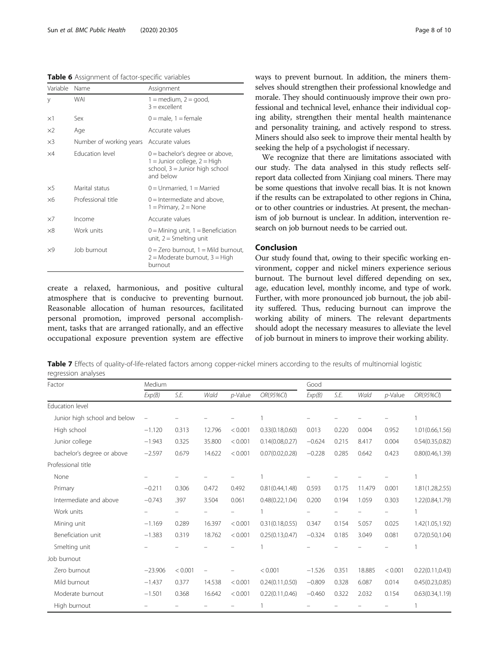<span id="page-7-0"></span>Table 6 Assignment of factor-specific variables

| Variable   | Name                    | Assignment                                                                                                             |
|------------|-------------------------|------------------------------------------------------------------------------------------------------------------------|
| У          | WAI                     | $1 = \text{medium}, 2 = \text{good},$<br>$3 = 9x$ cellent                                                              |
| $\times$ 1 | Sex                     | $0 =$ male, $1 =$ female                                                                                               |
| ×2         | Age                     | Accurate values                                                                                                        |
| $\times$ 3 | Number of working years | Accurate values                                                                                                        |
| $\times 4$ | <b>Education level</b>  | $0 =$ bachelor's degree or above,<br>$1 =$ Junior college, $2 =$ High<br>school, $3 =$ Junior high school<br>and below |
| ×5         | Marital status          | $0 =$ Unmarried, $1 =$ Married                                                                                         |
| ×б         | Professional title      | $0 =$ Intermediate and above,<br>$1 =$ Primary, 2 = None                                                               |
| x7         | Income                  | Accurate values                                                                                                        |
| $\times 8$ | Work units              | $0 =$ Mining unit, $1 =$ Beneficiation<br>unit, $2 =$ Smelting unit                                                    |
| ×9         | Job burnout             | $0 =$ Zero burnout, $1 =$ Mild burnout,<br>$2 =$ Moderate burnout, $3 =$ High<br>burnout                               |

create a relaxed, harmonious, and positive cultural atmosphere that is conducive to preventing burnout. Reasonable allocation of human resources, facilitated personal promotion, improved personal accomplishment, tasks that are arranged rationally, and an effective occupational exposure prevention system are effective

ways to prevent burnout. In addition, the miners themselves should strengthen their professional knowledge and morale. They should continuously improve their own professional and technical level, enhance their individual coping ability, strengthen their mental health maintenance and personality training, and actively respond to stress. Miners should also seek to improve their mental health by seeking the help of a psychologist if necessary.

We recognize that there are limitations associated with our study. The data analysed in this study reflects selfreport data collected from Xinjiang coal miners. There may be some questions that involve recall bias. It is not known if the results can be extrapolated to other regions in China, or to other countries or industries. At present, the mechanism of job burnout is unclear. In addition, intervention research on job burnout needs to be carried out.

# Conclusion

Our study found that, owing to their specific working environment, copper and nickel miners experience serious burnout. The burnout level differed depending on sex, age, education level, monthly income, and type of work. Further, with more pronounced job burnout, the job ability suffered. Thus, reducing burnout can improve the working ability of miners. The relevant departments should adopt the necessary measures to alleviate the level of job burnout in miners to improve their working ability.

Table 7 Effects of quality-of-life-related factors among copper-nickel miners according to the results of multinomial logistic regression analyses

| Factor                       | Medium    |         |        | Good       |                  |          |       |        |            |                  |
|------------------------------|-----------|---------|--------|------------|------------------|----------|-------|--------|------------|------------------|
|                              | Exp(B)    | S.E.    | Wald   | $p$ -Value | OR(95%CI)        | Exp(B)   | S.E.  | Wald   | $p$ -Value | OR(95%CI)        |
| Education level              |           |         |        |            |                  |          |       |        |            |                  |
| Junior high school and below |           |         |        |            |                  |          |       |        |            |                  |
| High school                  | $-1.120$  | 0.313   | 12.796 | < 0.001    | 0.33(0.18, 0.60) | 0.013    | 0.220 | 0.004  | 0.952      | 1.01(0.66,1.56)  |
| Junior college               | $-1.943$  | 0.325   | 35.800 | < 0.001    | 0.14(0.08, 0.27) | $-0.624$ | 0.215 | 8.417  | 0.004      | 0.54(0.35,0.82)  |
| bachelor's degree or above   | $-2.597$  | 0.679   | 14.622 | < 0.001    | 0.07(0.02, 0.28) | $-0.228$ | 0.285 | 0.642  | 0.423      | 0.80(0.46,1.39)  |
| Professional title           |           |         |        |            |                  |          |       |        |            |                  |
| None                         |           |         |        |            |                  |          |       |        |            |                  |
| Primary                      | $-0.211$  | 0.306   | 0.472  | 0.492      | 0.81(0.44, 1.48) | 0.593    | 0.175 | 11.479 | 0.001      | 1.81(1.28,2.55)  |
| Intermediate and above       | $-0.743$  | .397    | 3.504  | 0.061      | 0.48(0.22, 1.04) | 0.200    | 0.194 | 1.059  | 0.303      | 1.22(0.84,1.79)  |
| Work units                   |           |         |        |            |                  |          |       |        |            |                  |
| Mining unit                  | $-1.169$  | 0.289   | 16.397 | < 0.001    | 0.31(0.18, 0.55) | 0.347    | 0.154 | 5.057  | 0.025      | 1.42(1.05,1.92)  |
| Beneficiation unit           | $-1.383$  | 0.319   | 18.762 | < 0.001    | 0.25(0.13, 0.47) | $-0.324$ | 0.185 | 3.049  | 0.081      | 0.72(0.50, 1.04) |
| Smelting unit                |           |         |        |            |                  |          |       |        |            |                  |
| Job burnout                  |           |         |        |            |                  |          |       |        |            |                  |
| Zero burnout                 | $-23.906$ | < 0.001 |        |            | < 0.001          | $-1.526$ | 0.351 | 18.885 | < 0.001    | 0.22(0.11, 0.43) |
| Mild burnout                 | $-1.437$  | 0.377   | 14.538 | < 0.001    | 0.24(0.11, 0.50) | $-0.809$ | 0.328 | 6.087  | 0.014      | 0.45(0.23, 0.85) |
| Moderate burnout             | $-1.501$  | 0.368   | 16.642 | < 0.001    | 0.22(0.11, 0.46) | $-0.460$ | 0.322 | 2.032  | 0.154      | 0.63(0.34, 1.19) |
| High burnout                 |           |         |        |            |                  |          |       |        |            |                  |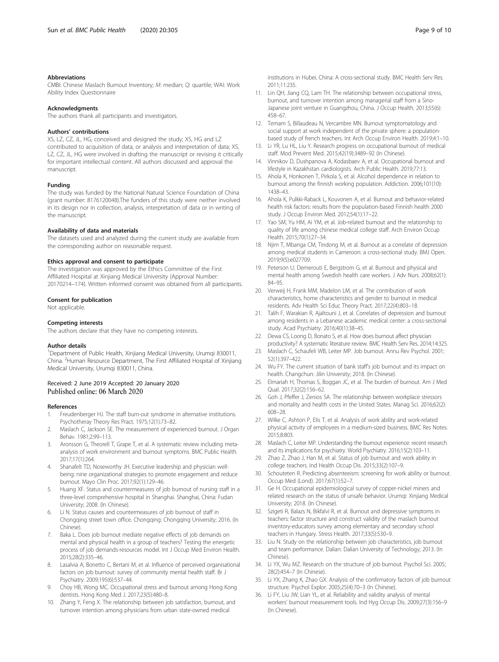### <span id="page-8-0"></span>Abbreviations

CMBI: Chinese Maslach Burnout Inventory; M: median; Q: quartile; WAI: Work Ability Index Questionnaire

### Acknowledgments

The authors thank all participants and investigators.

### Authors' contributions

XS, LZ, CZ, JL, HG, conceived and designed the study; XS, HG and LZ contributed to acquisition of data, or analysis and interpretation of data; XS, LZ, CZ, JL, HG were involved in drafting the manuscript or revising it critically for important intellectual content. All authors discussed and approval the manuscript.

### Funding

The study was funded by the National Natural Science Foundation of China (grant number: 8176120048).The funders of this study were neither involved in its design nor in collection, analysis, interpretation of data or in writing of the manuscript.

### Availability of data and materials

The datasets used and analyzed during the current study are available from the corresponding author on reasonable request.

### Ethics approval and consent to participate

The investigation was approved by the Ethics Committee of the First Affiliated Hospital at Xinjiang Medical University (Approval Number: 20170214–174). Written informed consent was obtained from all participants.

### Consent for publication

Not applicable.

#### Competing interests

The authors declare that they have no competing interests.

#### Author details

<sup>1</sup>Department of Public Health, Xinjiang Medical University, Urumqi 830011, China. <sup>2</sup>Human Resource Department, The First Affiliated Hospital of Xinjiang Medical University, Urumqi 830011, China.

### Received: 2 June 2019 Accepted: 20 January 2020 Published online: 06 March 2020

### References

- 1. Freudenberger HJ. The staff burn-out syndrome in alternative institutions. Psychotheray Theory Res Pract. 1975;12(1):73–82.
- 2. Maslach C, Jackson SE. The measurement of experienced burnout. J Organ Behav. 1981;2:99–113.
- 3. Aronsson G, Theorell T, Grape T, et al. A systematic review including metaanalysis of work environment and burnout symptoms. BMC Public Health. 2017;17(1):264.
- 4. Shanafelt TD, Noseworthy JH. Executive leadership and physician wellbeing: nine organizational strategies to promote engagement and reduce burnout. Mayo Clin Proc. 2017;92(1):129–46.
- 5. Huang XF. Status and countermeasures of job burnout of nursing staff in a three-level comprehensive hospital in Shanghai. Shanghai, China: Fudan University; 2008. (In Chinese).
- 6. Li N. Status causes and countermeasures of job burnout of staff in Chongqing street town office. Chongqing: Chongqing University; 2016. (In Chinese).
- 7. Baka L. Does job burnout mediate negative effects of job demands on mental and physical health in a group of teachers? Testing the energetic process of job demands-resources model. Int J Occup Med Environ Health. 2015;28(2):335–46.
- 8. Lasalvia A, Bonetto C, Bertani M, et al. Influence of perceived organisational factors on job burnout: survey of community mental health staff. Br J Psychiatry. 2009;195(6):537–44.
- 9. Choy HB, Wong MC. Occupational stress and burnout among Hong Kong dentists. Hong Kong Med J. 2017;23(5):480–8.
- 10. Zhang Y, Feng X. The relationship between job satisfaction, burnout, and turnover intention among physicians from urban state-owned medical
- 11. Lin QH, Jiang CQ, Lam TH. The relationship between occupational stress, burnout, and turnover intention among managerial staff from a Sino-Japanese joint venture in Guangzhou, China. J Occup Health. 2013;55(6): 458–67.
- 12. Temam S, Billaudeau N, Vercambre MN. Burnout symptomatology and social support at work independent of the private sphere: a populationbased study of french teachers. Int Arch Occup Environ Health. 2019;4:1–10.
- 13. Li YR, Lu HL, Liu Y. Research progress on occupational burnout of medical staff. Mod Prevent Med. 2015;42(19):3489–92 (In Chinese).
- 14. Vinnikov D, Dushpanova A, Kodasbaev A, et al. Occupational burnout and lifestyle in Kazakhstan cardiologists. Arch Public Health. 2019;77:13.
- 15. Ahola K, Honkonen T, Pirkola S, et al. Alcohol dependence in relation to burnout among the finnish working population. Addiction. 2006;101(10): 1438–43.
- 16. Ahola K, Pulkki-Raback L, Kouvonen A, et al. Burnout and behavior-related health risk factors: results from the population-based Finnish health 2000 study. J Occup Environ Med. 2012;54(1):17–22.
- 17. Yao SM, Yu HM, Ai YM, et al. Job-related burnout and the relationship to quality of life among chinese medical college staff. Arch Environ Occup Health. 2015;70(1):27–34.
- 18. Njim T, Mbanga CM, Tindong M, et al. Burnout as a correlate of depression among medical students in Cameroon: a cross-sectional study. BMJ Open. 2019;9(5):e027709.
- 19. Peterson U, Demerouti E, Bergstrom G, et al. Burnout and physical and mental health among Swedish health care workers. J Adv Nurs. 2008;62(1): 84–95.
- 20. Verweij H, Frank MM, Madelon LM, et al. The contribution of work characteristics, home characteristics and gender to burnout in medical residents. Adv Health Sci Educ Theory Pract. 2017;22(4):803–18.
- 21. Talih F, Warakian R, Ajaltouni J, et al. Correlates of depression and burnout among residents in a Lebanese academic medical center: a cross-sectional study. Acad Psychiatry. 2016;40(1):38–45.
- 22. Dewa CS, Loong D, Bonato S, et al. How does burnout affect physician productivity? A systematic literature review. BMC Health Serv Res. 2014;14:325.
- 23. Maslach C, Schaufeli WB, Leiter MP. Job burnout. Annu Rev Psychol. 2001; 52(1):397–422.
- 24. Wu FY. The current situation of bank staff's job burnout and its impact on health. Changchun: Jilin University; 2018. (In Chinese).
- 25. Elmariah H, Thomas S, Boggan JC, et al. The burden of burnout. Am J Med Qual. 2017;32(2):156–62.
- 26. Goh J, Pfeffer J, Zenios SA. The relationship between workplace stressors and mortality and health costs in the United States. Manag Sci. 2016;62(2): 608–28.
- 27. Wilke C, Ashton P, Elis T, et al. Analysis of work ability and work-related physical activity of employees in a medium-sized business. BMC Res Notes. 2015;8:803.
- 28. Maslach C, Leiter MP. Understanding the burnout experience: recent research and its implications for psychiatry. World Psychiatry. 2016;15(2):103–11.
- 29. Zhao Z, Zhao J, Han M, et al. Status of job burnout and work ability in college teachers. Ind Health Occup Dis. 2015;33(2):107–9.
- 30. Schouteten R. Predicting absenteeism: screening for work ability or burnout. Occup Med (Lond). 2017;67(1):52–7.
- 31. Ge H. Occupational epidemiological survey of copper-nickel miners and related research on the status of unsafe behavior. Urumqi: Xinjiang Medical University; 2018. (In Chinese).
- 32. Szigeti R, Balazs N, Bikfalvi R, et al. Burnout and depressive symptoms in teachers: factor structure and construct validity of the maslach burnout inventory-educators survey among elementary and secondary school teachers in Hungary. Stress Health. 2017;33(5):530–9.
- 33. Liu N. Study on the relationship between job characteristics, job burnout and team performance. Dalian: Dalian University of Technology; 2013. (In Chinese).
- 34. Li YX, Wu MZ. Research on the structure of job burnout. Psychol Sci. 2005; 28(2):454–7 (In Chinese).
- 35. Li YX, Zhang K, Zhao GX. Analysis of the confirmatory factors of job burnout structure. Psychol Explor. 2005;25(4):70–3 (In Chinese).
- 36. Li FY, Liu JW, Lian YL, et al. Reliability and validity analysis of mental workers' burnout measurement tools. Ind Hyg Occup Dis. 2009;27(3):156–9 (In Chinese).